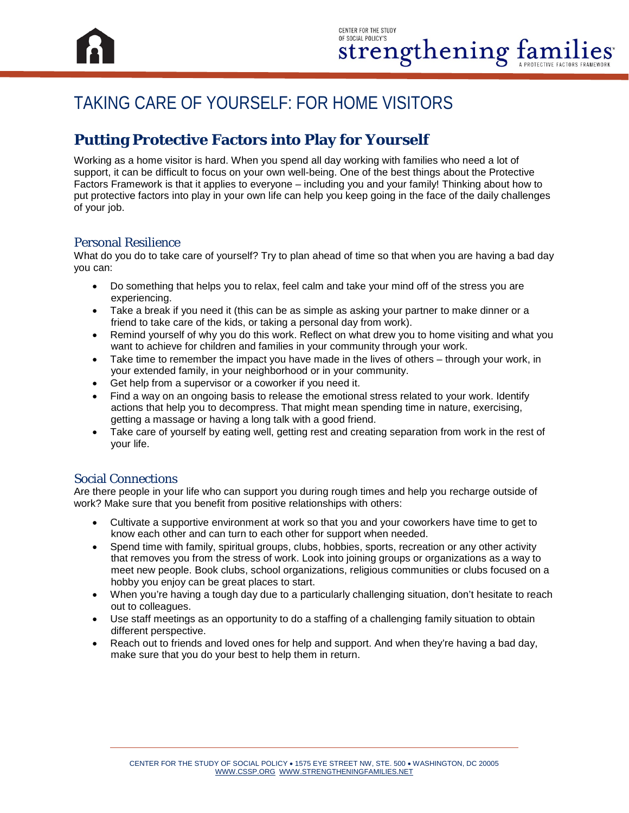

# TAKING CARE OF YOURSELF: FOR HOME VISITORS

## **Putting Protective Factors into Play for Yourself**

Working as a home visitor is hard. When you spend all day working with families who need a lot of support, it can be difficult to focus on your own well-being. One of the best things about the Protective Factors Framework is that it applies to everyone – including you and your family! Thinking about how to put protective factors into play in your own life can help you keep going in the face of the daily challenges of your job.

#### Personal Resilience

What do you do to take care of yourself? Try to plan ahead of time so that when you are having a bad day you can:

- Do something that helps you to relax, feel calm and take your mind off of the stress you are experiencing.
- Take a break if you need it (this can be as simple as asking your partner to make dinner or a friend to take care of the kids, or taking a personal day from work).
- Remind yourself of why you do this work. Reflect on what drew you to home visiting and what you want to achieve for children and families in your community through your work.
- Take time to remember the impact you have made in the lives of others through your work, in your extended family, in your neighborhood or in your community.
- Get help from a supervisor or a coworker if you need it.
- Find a way on an ongoing basis to release the emotional stress related to your work. Identify actions that help you to decompress. That might mean spending time in nature, exercising, getting a massage or having a long talk with a good friend.
- Take care of yourself by eating well, getting rest and creating separation from work in the rest of your life.

#### Social Connections

Are there people in your life who can support you during rough times and help you recharge outside of work? Make sure that you benefit from positive relationships with others:

- Cultivate a supportive environment at work so that you and your coworkers have time to get to know each other and can turn to each other for support when needed.
- Spend time with family, spiritual groups, clubs, hobbies, sports, recreation or any other activity that removes you from the stress of work. Look into joining groups or organizations as a way to meet new people. Book clubs, school organizations, religious communities or clubs focused on a hobby you enjoy can be great places to start.
- When you're having a tough day due to a particularly challenging situation, don't hesitate to reach out to colleagues.
- Use staff meetings as an opportunity to do a staffing of a challenging family situation to obtain different perspective.
- Reach out to friends and loved ones for help and support. And when they're having a bad day, make sure that you do your best to help them in return.